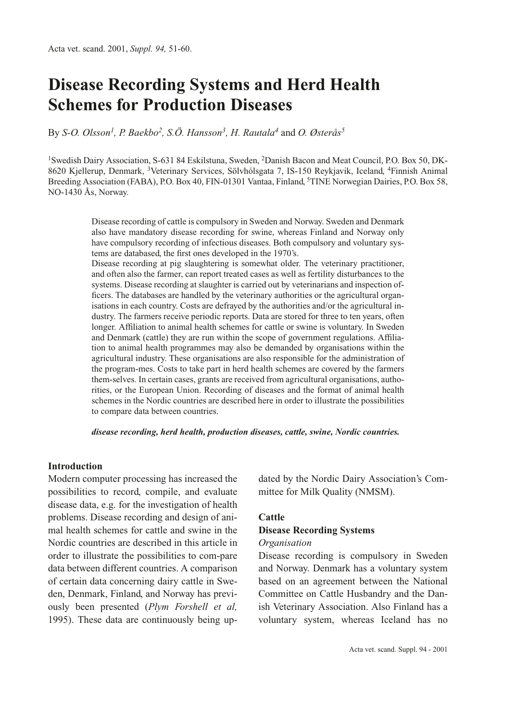# **Disease Recording Systems and Herd Health Schemes for Production Diseases**

By *S-O. Olsson1, P. Baekbo2, S.Ö. Hansson3, H. Rautala4* and *O. Østerås<sup>5</sup>*

1Swedish Dairy Association, S-631 84 Eskilstuna, Sweden, 2Danish Bacon and Meat Council, P.O. Box 50, DK-8620 Kjellerup, Denmark, 3Veterinary Services, Sölvhólsgata 7, IS-150 Reykjavik, Iceland, 4Finnish Animal Breeding Association (FABA), P.O. Box 40, FIN-01301 Vantaa, Finland, <sup>5</sup>TINE Norwegian Dairies, P.O. Box 58, NO-1430 Ås, Norway.

> Disease recording of cattle is compulsory in Sweden and Norway. Sweden and Denmark also have mandatory disease recording for swine, whereas Finland and Norway only have compulsory recording of infectious diseases. Both compulsory and voluntary systems are databased, the first ones developed in the 1970's.

> Disease recording at pig slaughtering is somewhat older. The veterinary practitioner, and often also the farmer, can report treated cases as well as fertility disturbances to the systems. Disease recording at slaughter is carried out by veterinarians and inspection officers. The databases are handled by the veterinary authorities or the agricultural organisations in each country. Costs are defrayed by the authorities and/or the agricultural industry. The farmers receive periodic reports. Data are stored for three to ten years, often longer. Affiliation to animal health schemes for cattle or swine is voluntary. In Sweden and Denmark (cattle) they are run within the scope of government regulations. Affiliation to animal health programmes may also be demanded by organisations within the agricultural industry. These organisations are also responsible for the administration of the program-mes. Costs to take part in herd health schemes are covered by the farmers them-selves. In certain cases, grants are received from agricultural organisations, authorities, or the European Union. Recording of diseases and the format of animal health schemes in the Nordic countries are described here in order to illustrate the possibilities to compare data between countries.

*disease recording, herd health, production diseases, cattle, swine, Nordic countries.*

# **Introduction**

Modern computer processing has increased the possibilities to record, compile, and evaluate disease data, e.g. for the investigation of health problems. Disease recording and design of animal health schemes for cattle and swine in the Nordic countries are described in this article in order to illustrate the possibilities to com-pare data between different countries. A comparison of certain data concerning dairy cattle in Sweden, Denmark, Finland, and Norway has previously been presented (*Plym Forshell et al,* 1995). These data are continuously being updated by the Nordic Dairy Association's Committee for Milk Quality (NMSM).

### **Cattle**

# **Disease Recording Systems**

## *Organisation*

Disease recording is compulsory in Sweden and Norway. Denmark has a voluntary system based on an agreement between the National Committee on Cattle Husbandry and the Danish Veterinary Association. Also Finland has a voluntary system, whereas Iceland has no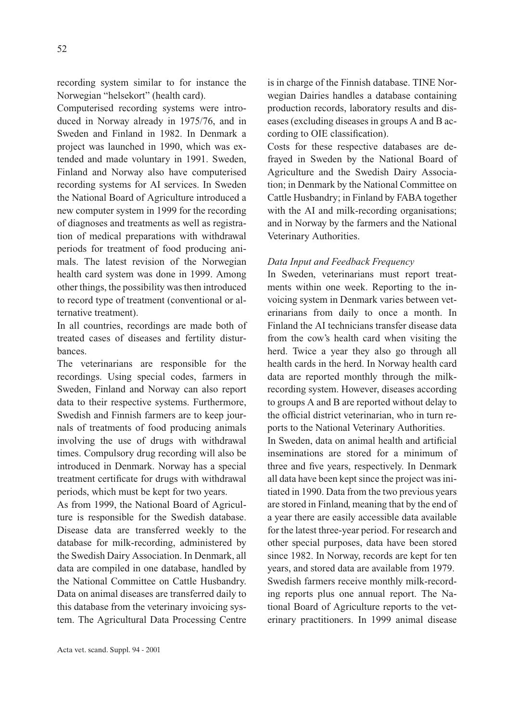recording system similar to for instance the Norwegian "helsekort" (health card).

Computerised recording systems were introduced in Norway already in 1975/76, and in Sweden and Finland in 1982. In Denmark a project was launched in 1990, which was extended and made voluntary in 1991. Sweden, Finland and Norway also have computerised recording systems for AI services. In Sweden the National Board of Agriculture introduced a new computer system in 1999 for the recording of diagnoses and treatments as well as registration of medical preparations with withdrawal periods for treatment of food producing animals. The latest revision of the Norwegian health card system was done in 1999. Among other things, the possibility was then introduced to record type of treatment (conventional or alternative treatment).

In all countries, recordings are made both of treated cases of diseases and fertility disturbances.

The veterinarians are responsible for the recordings. Using special codes, farmers in Sweden, Finland and Norway can also report data to their respective systems. Furthermore, Swedish and Finnish farmers are to keep journals of treatments of food producing animals involving the use of drugs with withdrawal times. Compulsory drug recording will also be introduced in Denmark. Norway has a special treatment certificate for drugs with withdrawal periods, which must be kept for two years.

As from 1999, the National Board of Agriculture is responsible for the Swedish database. Disease data are transferred weekly to the database for milk-recording, administered by the Swedish Dairy Association. In Denmark, all data are compiled in one database, handled by the National Committee on Cattle Husbandry. Data on animal diseases are transferred daily to this database from the veterinary invoicing system. The Agricultural Data Processing Centre

Costs for these respective databases are defrayed in Sweden by the National Board of Agriculture and the Swedish Dairy Association; in Denmark by the National Committee on Cattle Husbandry; in Finland by FABA together with the AI and milk-recording organisations; and in Norway by the farmers and the National Veterinary Authorities.

### *Data Input and Feedback Frequency*

In Sweden, veterinarians must report treatments within one week. Reporting to the invoicing system in Denmark varies between veterinarians from daily to once a month. In Finland the AI technicians transfer disease data from the cow's health card when visiting the herd. Twice a year they also go through all health cards in the herd. In Norway health card data are reported monthly through the milkrecording system. However, diseases according to groups A and B are reported without delay to the official district veterinarian, who in turn reports to the National Veterinary Authorities.

In Sweden, data on animal health and artificial inseminations are stored for a minimum of three and five years, respectively. In Denmark all data have been kept since the project was initiated in 1990. Data from the two previous years are stored in Finland, meaning that by the end of a year there are easily accessible data available for the latest three-year period. For research and other special purposes, data have been stored since 1982. In Norway, records are kept for ten years, and stored data are available from 1979. Swedish farmers receive monthly milk-recording reports plus one annual report. The National Board of Agriculture reports to the veterinary practitioners. In 1999 animal disease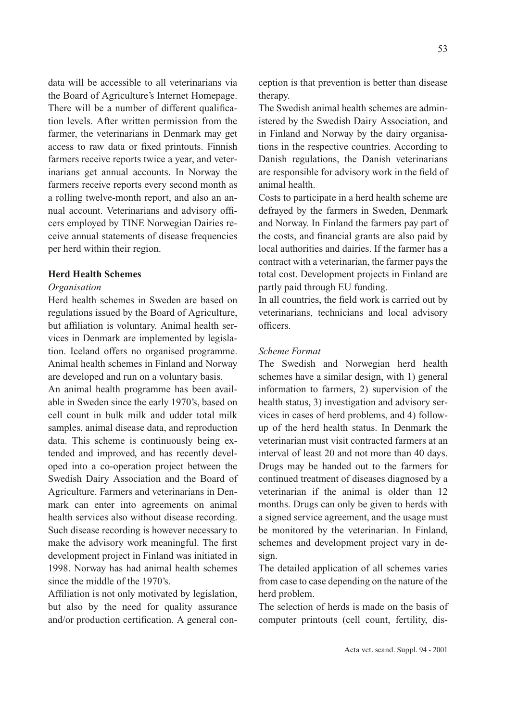data will be accessible to all veterinarians via the Board of Agriculture's Internet Homepage. There will be a number of different qualification levels. After written permission from the farmer, the veterinarians in Denmark may get access to raw data or fixed printouts. Finnish farmers receive reports twice a year, and veterinarians get annual accounts. In Norway the farmers receive reports every second month as a rolling twelve-month report, and also an annual account. Veterinarians and advisory officers employed by TINE Norwegian Dairies receive annual statements of disease frequencies per herd within their region.

# **Herd Health Schemes**

## *Organisation*

Herd health schemes in Sweden are based on regulations issued by the Board of Agriculture, but affiliation is voluntary. Animal health services in Denmark are implemented by legislation. Iceland offers no organised programme. Animal health schemes in Finland and Norway are developed and run on a voluntary basis.

An animal health programme has been available in Sweden since the early 1970's, based on cell count in bulk milk and udder total milk samples, animal disease data, and reproduction data. This scheme is continuously being extended and improved, and has recently developed into a co-operation project between the Swedish Dairy Association and the Board of Agriculture. Farmers and veterinarians in Denmark can enter into agreements on animal health services also without disease recording. Such disease recording is however necessary to make the advisory work meaningful. The first development project in Finland was initiated in 1998. Norway has had animal health schemes since the middle of the 1970's.

Affiliation is not only motivated by legislation, but also by the need for quality assurance and/or production certification. A general conception is that prevention is better than disease therapy.

The Swedish animal health schemes are administered by the Swedish Dairy Association, and in Finland and Norway by the dairy organisations in the respective countries. According to Danish regulations, the Danish veterinarians are responsible for advisory work in the field of animal health.

Costs to participate in a herd health scheme are defrayed by the farmers in Sweden, Denmark and Norway. In Finland the farmers pay part of the costs, and financial grants are also paid by local authorities and dairies. If the farmer has a contract with a veterinarian, the farmer pays the total cost. Development projects in Finland are partly paid through EU funding.

In all countries, the field work is carried out by veterinarians, technicians and local advisory officers.

# *Scheme Format*

The Swedish and Norwegian herd health schemes have a similar design, with 1) general information to farmers, 2) supervision of the health status, 3) investigation and advisory services in cases of herd problems, and 4) followup of the herd health status. In Denmark the veterinarian must visit contracted farmers at an interval of least 20 and not more than 40 days. Drugs may be handed out to the farmers for continued treatment of diseases diagnosed by a veterinarian if the animal is older than 12 months. Drugs can only be given to herds with a signed service agreement, and the usage must be monitored by the veterinarian. In Finland, schemes and development project vary in design.

The detailed application of all schemes varies from case to case depending on the nature of the herd problem.

The selection of herds is made on the basis of computer printouts (cell count, fertility, dis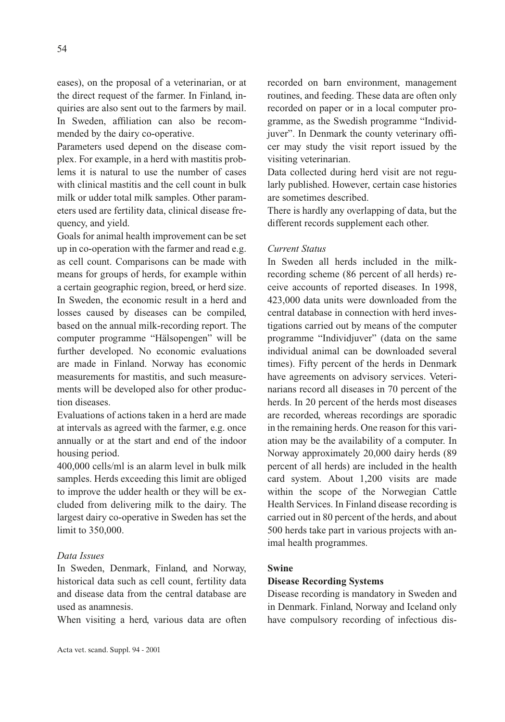eases), on the proposal of a veterinarian, or at the direct request of the farmer. In Finland, inquiries are also sent out to the farmers by mail. In Sweden, affiliation can also be recommended by the dairy co-operative.

Parameters used depend on the disease complex. For example, in a herd with mastitis problems it is natural to use the number of cases with clinical mastitis and the cell count in bulk milk or udder total milk samples. Other parameters used are fertility data, clinical disease frequency, and yield.

Goals for animal health improvement can be set up in co-operation with the farmer and read e.g. as cell count. Comparisons can be made with means for groups of herds, for example within a certain geographic region, breed, or herd size. In Sweden, the economic result in a herd and losses caused by diseases can be compiled, based on the annual milk-recording report. The computer programme "Hälsopengen" will be further developed. No economic evaluations are made in Finland. Norway has economic measurements for mastitis, and such measurements will be developed also for other production diseases.

Evaluations of actions taken in a herd are made at intervals as agreed with the farmer, e.g. once annually or at the start and end of the indoor housing period.

400,000 cells/ml is an alarm level in bulk milk samples. Herds exceeding this limit are obliged to improve the udder health or they will be excluded from delivering milk to the dairy. The largest dairy co-operative in Sweden has set the limit to 350,000.

# *Data Issues*

In Sweden, Denmark, Finland, and Norway, historical data such as cell count, fertility data and disease data from the central database are used as anamnesis.

When visiting a herd, various data are often

recorded on barn environment, management routines, and feeding. These data are often only recorded on paper or in a local computer programme, as the Swedish programme "Individjuver". In Denmark the county veterinary officer may study the visit report issued by the visiting veterinarian.

Data collected during herd visit are not regularly published. However, certain case histories are sometimes described.

There is hardly any overlapping of data, but the different records supplement each other.

## *Current Status*

In Sweden all herds included in the milkrecording scheme (86 percent of all herds) receive accounts of reported diseases. In 1998, 423,000 data units were downloaded from the central database in connection with herd investigations carried out by means of the computer programme "Individjuver" (data on the same individual animal can be downloaded several times). Fifty percent of the herds in Denmark have agreements on advisory services. Veterinarians record all diseases in 70 percent of the herds. In 20 percent of the herds most diseases are recorded, whereas recordings are sporadic in the remaining herds. One reason for this variation may be the availability of a computer. In Norway approximately 20,000 dairy herds (89 percent of all herds) are included in the health card system. About 1,200 visits are made within the scope of the Norwegian Cattle Health Services. In Finland disease recording is carried out in 80 percent of the herds, and about 500 herds take part in various projects with animal health programmes.

# **Swine**

# **Disease Recording Systems**

Disease recording is mandatory in Sweden and in Denmark. Finland, Norway and Iceland only have compulsory recording of infectious dis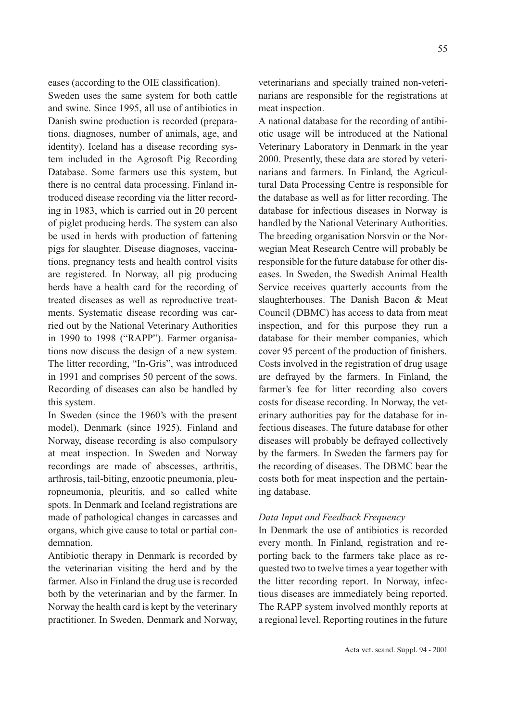eases (according to the OIE classification).

Sweden uses the same system for both cattle and swine. Since 1995, all use of antibiotics in Danish swine production is recorded (preparations, diagnoses, number of animals, age, and identity). Iceland has a disease recording system included in the Agrosoft Pig Recording Database. Some farmers use this system, but there is no central data processing. Finland introduced disease recording via the litter recording in 1983, which is carried out in 20 percent of piglet producing herds. The system can also be used in herds with production of fattening pigs for slaughter. Disease diagnoses, vaccinations, pregnancy tests and health control visits are registered. In Norway, all pig producing herds have a health card for the recording of treated diseases as well as reproductive treatments. Systematic disease recording was carried out by the National Veterinary Authorities in 1990 to 1998 ("RAPP"). Farmer organisations now discuss the design of a new system. The litter recording, "In-Gris", was introduced in 1991 and comprises 50 percent of the sows. Recording of diseases can also be handled by this system.

In Sweden (since the 1960's with the present model), Denmark (since 1925), Finland and Norway, disease recording is also compulsory at meat inspection. In Sweden and Norway recordings are made of abscesses, arthritis, arthrosis, tail-biting, enzootic pneumonia, pleuropneumonia, pleuritis, and so called white spots. In Denmark and Iceland registrations are made of pathological changes in carcasses and organs, which give cause to total or partial condemnation.

Antibiotic therapy in Denmark is recorded by the veterinarian visiting the herd and by the farmer. Also in Finland the drug use is recorded both by the veterinarian and by the farmer. In Norway the health card is kept by the veterinary practitioner. In Sweden, Denmark and Norway,

veterinarians and specially trained non-veterinarians are responsible for the registrations at meat inspection.

A national database for the recording of antibiotic usage will be introduced at the National Veterinary Laboratory in Denmark in the year 2000. Presently, these data are stored by veterinarians and farmers. In Finland, the Agricultural Data Processing Centre is responsible for the database as well as for litter recording. The database for infectious diseases in Norway is handled by the National Veterinary Authorities. The breeding organisation Norsvin or the Norwegian Meat Research Centre will probably be responsible for the future database for other diseases. In Sweden, the Swedish Animal Health Service receives quarterly accounts from the slaughterhouses. The Danish Bacon & Meat Council (DBMC) has access to data from meat inspection, and for this purpose they run a database for their member companies, which cover 95 percent of the production of finishers. Costs involved in the registration of drug usage are defrayed by the farmers. In Finland, the farmer's fee for litter recording also covers costs for disease recording. In Norway, the veterinary authorities pay for the database for infectious diseases. The future database for other diseases will probably be defrayed collectively by the farmers. In Sweden the farmers pay for the recording of diseases. The DBMC bear the costs both for meat inspection and the pertaining database.

#### *Data Input and Feedback Frequency*

In Denmark the use of antibiotics is recorded every month. In Finland, registration and reporting back to the farmers take place as requested two to twelve times a year together with the litter recording report. In Norway, infectious diseases are immediately being reported. The RAPP system involved monthly reports at a regional level. Reporting routines in the future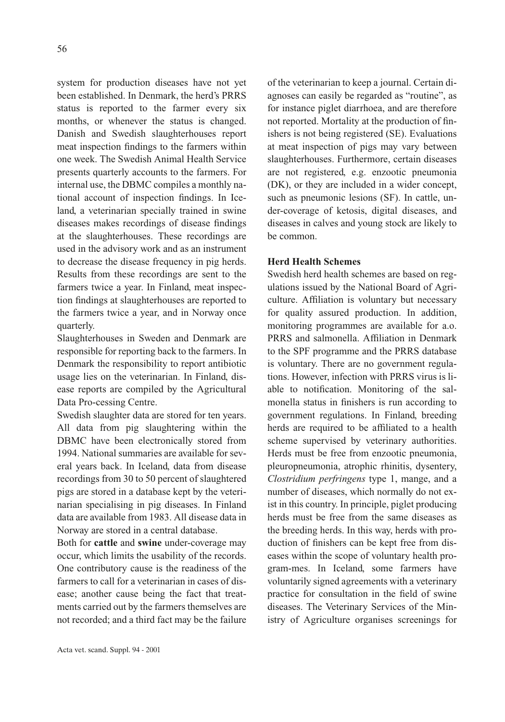system for production diseases have not yet been established. In Denmark, the herd's PRRS status is reported to the farmer every six months, or whenever the status is changed. Danish and Swedish slaughterhouses report meat inspection findings to the farmers within one week. The Swedish Animal Health Service presents quarterly accounts to the farmers. For internal use, the DBMC compiles a monthly national account of inspection findings. In Iceland, a veterinarian specially trained in swine diseases makes recordings of disease findings at the slaughterhouses. These recordings are used in the advisory work and as an instrument to decrease the disease frequency in pig herds. Results from these recordings are sent to the farmers twice a year. In Finland, meat inspection findings at slaughterhouses are reported to the farmers twice a year, and in Norway once quarterly.

Slaughterhouses in Sweden and Denmark are responsible for reporting back to the farmers. In Denmark the responsibility to report antibiotic usage lies on the veterinarian. In Finland, disease reports are compiled by the Agricultural Data Pro-cessing Centre.

Swedish slaughter data are stored for ten years. All data from pig slaughtering within the DBMC have been electronically stored from 1994. National summaries are available for several years back. In Iceland, data from disease recordings from 30 to 50 percent of slaughtered pigs are stored in a database kept by the veterinarian specialising in pig diseases. In Finland data are available from 1983. All disease data in Norway are stored in a central database.

Both for **cattle** and **swine** under-coverage may occur, which limits the usability of the records. One contributory cause is the readiness of the farmers to call for a veterinarian in cases of disease; another cause being the fact that treatments carried out by the farmers themselves are not recorded; and a third fact may be the failure

of the veterinarian to keep a journal. Certain diagnoses can easily be regarded as "routine", as for instance piglet diarrhoea, and are therefore not reported. Mortality at the production of finishers is not being registered (SE). Evaluations at meat inspection of pigs may vary between slaughterhouses. Furthermore, certain diseases are not registered, e.g. enzootic pneumonia (DK), or they are included in a wider concept, such as pneumonic lesions (SF). In cattle, under-coverage of ketosis, digital diseases, and diseases in calves and young stock are likely to be common.

# **Herd Health Schemes**

Swedish herd health schemes are based on regulations issued by the National Board of Agriculture. Affiliation is voluntary but necessary for quality assured production. In addition, monitoring programmes are available for a.o. PRRS and salmonella. Affiliation in Denmark to the SPF programme and the PRRS database is voluntary. There are no government regulations. However, infection with PRRS virus is liable to notification. Monitoring of the salmonella status in finishers is run according to government regulations. In Finland, breeding herds are required to be affiliated to a health scheme supervised by veterinary authorities. Herds must be free from enzootic pneumonia, pleuropneumonia, atrophic rhinitis, dysentery, *Clostridium perfringens* type 1, mange, and a number of diseases, which normally do not exist in this country. In principle, piglet producing herds must be free from the same diseases as the breeding herds. In this way, herds with production of finishers can be kept free from diseases within the scope of voluntary health program-mes. In Iceland, some farmers have voluntarily signed agreements with a veterinary practice for consultation in the field of swine diseases. The Veterinary Services of the Ministry of Agriculture organises screenings for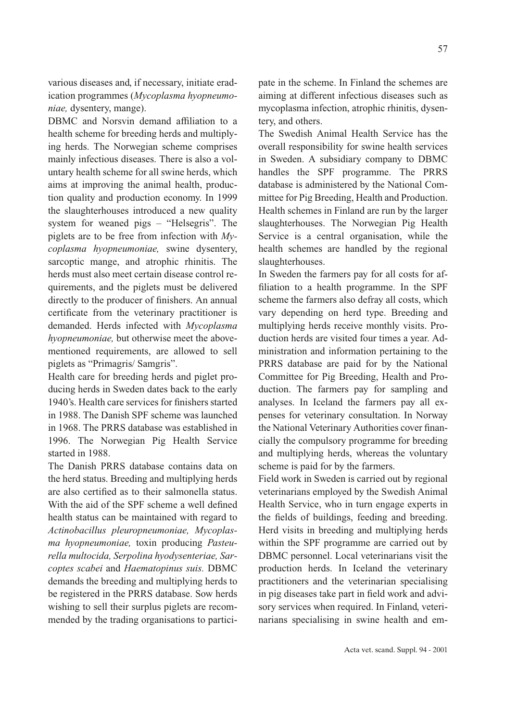various diseases and, if necessary, initiate eradication programmes (*Mycoplasma hyopneumoniae,* dysentery, mange).

DBMC and Norsvin demand affiliation to a health scheme for breeding herds and multiplying herds. The Norwegian scheme comprises mainly infectious diseases. There is also a voluntary health scheme for all swine herds, which aims at improving the animal health, production quality and production economy. In 1999 the slaughterhouses introduced a new quality system for weaned pigs – "Helsegris". The piglets are to be free from infection with *Mycoplasma hyopneumoniae,* swine dysentery, sarcoptic mange, and atrophic rhinitis. The herds must also meet certain disease control requirements, and the piglets must be delivered directly to the producer of finishers. An annual certificate from the veterinary practitioner is demanded. Herds infected with *Mycoplasma hyopneumoniae,* but otherwise meet the abovementioned requirements, are allowed to sell piglets as "Primagris/ Samgris".

Health care for breeding herds and piglet producing herds in Sweden dates back to the early 1940's. Health care services for finishers started in 1988. The Danish SPF scheme was launched in 1968. The PRRS database was established in 1996. The Norwegian Pig Health Service started in 1988.

The Danish PRRS database contains data on the herd status. Breeding and multiplying herds are also certified as to their salmonella status. With the aid of the SPF scheme a well defined health status can be maintained with regard to *Actinobacillus pleuropneumoniae, Mycoplasma hyopneumoniae,* toxin producing *Pasteurella multocida, Serpolina hyodysenteriae, Sarcoptes scabei* and *Haematopinus suis.* DBMC demands the breeding and multiplying herds to be registered in the PRRS database. Sow herds wishing to sell their surplus piglets are recommended by the trading organisations to participate in the scheme. In Finland the schemes are aiming at different infectious diseases such as mycoplasma infection, atrophic rhinitis, dysentery, and others.

The Swedish Animal Health Service has the overall responsibility for swine health services in Sweden. A subsidiary company to DBMC handles the SPF programme. The PRRS database is administered by the National Committee for Pig Breeding, Health and Production. Health schemes in Finland are run by the larger slaughterhouses. The Norwegian Pig Health Service is a central organisation, while the health schemes are handled by the regional slaughterhouses.

In Sweden the farmers pay for all costs for affiliation to a health programme. In the SPF scheme the farmers also defray all costs, which vary depending on herd type. Breeding and multiplying herds receive monthly visits. Production herds are visited four times a year. Administration and information pertaining to the PRRS database are paid for by the National Committee for Pig Breeding, Health and Production. The farmers pay for sampling and analyses. In Iceland the farmers pay all expenses for veterinary consultation. In Norway the National Veterinary Authorities cover financially the compulsory programme for breeding and multiplying herds, whereas the voluntary scheme is paid for by the farmers.

Field work in Sweden is carried out by regional veterinarians employed by the Swedish Animal Health Service, who in turn engage experts in the fields of buildings, feeding and breeding. Herd visits in breeding and multiplying herds within the SPF programme are carried out by DBMC personnel. Local veterinarians visit the production herds. In Iceland the veterinary practitioners and the veterinarian specialising in pig diseases take part in field work and advisory services when required. In Finland, veterinarians specialising in swine health and em-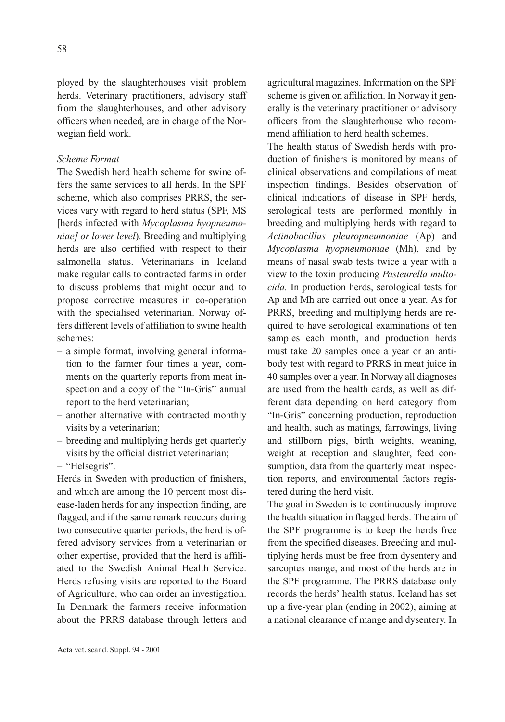ployed by the slaughterhouses visit problem herds. Veterinary practitioners, advisory staff from the slaughterhouses, and other advisory officers when needed, are in charge of the Norwegian field work.

## *Scheme Format*

The Swedish herd health scheme for swine offers the same services to all herds. In the SPF scheme, which also comprises PRRS, the services vary with regard to herd status (SPF, MS [herds infected with *Mycoplasma hyopneumoniae] or lower level*). Breeding and multiplying herds are also certified with respect to their salmonella status. Veterinarians in Iceland make regular calls to contracted farms in order to discuss problems that might occur and to propose corrective measures in co-operation with the specialised veterinarian. Norway offers different levels of affiliation to swine health schemes:

- a simple format, involving general information to the farmer four times a year, comments on the quarterly reports from meat inspection and a copy of the "In-Gris" annual report to the herd veterinarian;
- another alternative with contracted monthly visits by a veterinarian;
- breeding and multiplying herds get quarterly visits by the official district veterinarian;
- "Helsegris".

Herds in Sweden with production of finishers, and which are among the 10 percent most disease-laden herds for any inspection finding, are flagged, and if the same remark reoccurs during two consecutive quarter periods, the herd is offered advisory services from a veterinarian or other expertise, provided that the herd is affiliated to the Swedish Animal Health Service. Herds refusing visits are reported to the Board of Agriculture, who can order an investigation. In Denmark the farmers receive information about the PRRS database through letters and agricultural magazines. Information on the SPF scheme is given on affiliation. In Norway it generally is the veterinary practitioner or advisory officers from the slaughterhouse who recommend affiliation to herd health schemes.

The health status of Swedish herds with production of finishers is monitored by means of clinical observations and compilations of meat inspection findings. Besides observation of clinical indications of disease in SPF herds, serological tests are performed monthly in breeding and multiplying herds with regard to *Actinobacillus pleuropneumoniae* (Ap) and *Mycoplasma hyopneumoniae* (Mh), and by means of nasal swab tests twice a year with a view to the toxin producing *Pasteurella multocida.* In production herds, serological tests for Ap and Mh are carried out once a year. As for PRRS, breeding and multiplying herds are required to have serological examinations of ten samples each month, and production herds must take 20 samples once a year or an antibody test with regard to PRRS in meat juice in 40 samples over a year. In Norway all diagnoses are used from the health cards, as well as different data depending on herd category from "In-Gris" concerning production, reproduction and health, such as matings, farrowings, living and stillborn pigs, birth weights, weaning, weight at reception and slaughter, feed consumption, data from the quarterly meat inspection reports, and environmental factors registered during the herd visit.

The goal in Sweden is to continuously improve the health situation in flagged herds. The aim of the SPF programme is to keep the herds free from the specified diseases. Breeding and multiplying herds must be free from dysentery and sarcoptes mange, and most of the herds are in the SPF programme. The PRRS database only records the herds' health status. Iceland has set up a five-year plan (ending in 2002), aiming at a national clearance of mange and dysentery. In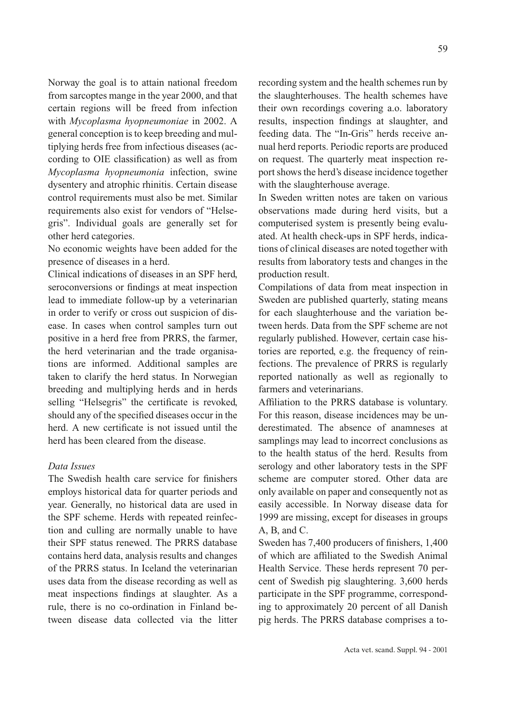Norway the goal is to attain national freedom from sarcoptes mange in the year 2000, and that certain regions will be freed from infection with *Mycoplasma hyopneumoniae* in 2002. A general conception is to keep breeding and multiplying herds free from infectious diseases (according to OIE classification) as well as from *Mycoplasma hyopneumonia* infection, swine dysentery and atrophic rhinitis. Certain disease control requirements must also be met. Similar requirements also exist for vendors of "Helsegris". Individual goals are generally set for other herd categories.

No economic weights have been added for the presence of diseases in a herd.

Clinical indications of diseases in an SPF herd, seroconversions or findings at meat inspection lead to immediate follow-up by a veterinarian in order to verify or cross out suspicion of disease. In cases when control samples turn out positive in a herd free from PRRS, the farmer, the herd veterinarian and the trade organisations are informed. Additional samples are taken to clarify the herd status. In Norwegian breeding and multiplying herds and in herds selling "Helsegris" the certificate is revoked, should any of the specified diseases occur in the herd. A new certificate is not issued until the herd has been cleared from the disease.

# *Data Issues*

The Swedish health care service for finishers employs historical data for quarter periods and year. Generally, no historical data are used in the SPF scheme. Herds with repeated reinfection and culling are normally unable to have their SPF status renewed. The PRRS database contains herd data, analysis results and changes of the PRRS status. In Iceland the veterinarian uses data from the disease recording as well as meat inspections findings at slaughter. As a rule, there is no co-ordination in Finland between disease data collected via the litter recording system and the health schemes run by the slaughterhouses. The health schemes have their own recordings covering a.o. laboratory results, inspection findings at slaughter, and feeding data. The "In-Gris" herds receive annual herd reports. Periodic reports are produced on request. The quarterly meat inspection report shows the herd's disease incidence together with the slaughterhouse average.

In Sweden written notes are taken on various observations made during herd visits, but a computerised system is presently being evaluated. At health check-ups in SPF herds, indications of clinical diseases are noted together with results from laboratory tests and changes in the production result.

Compilations of data from meat inspection in Sweden are published quarterly, stating means for each slaughterhouse and the variation between herds. Data from the SPF scheme are not regularly published. However, certain case histories are reported, e.g. the frequency of reinfections. The prevalence of PRRS is regularly reported nationally as well as regionally to farmers and veterinarians.

Affiliation to the PRRS database is voluntary. For this reason, disease incidences may be underestimated. The absence of anamneses at samplings may lead to incorrect conclusions as to the health status of the herd. Results from serology and other laboratory tests in the SPF scheme are computer stored. Other data are only available on paper and consequently not as easily accessible. In Norway disease data for 1999 are missing, except for diseases in groups A, B, and C.

Sweden has 7,400 producers of finishers, 1,400 of which are affiliated to the Swedish Animal Health Service. These herds represent 70 percent of Swedish pig slaughtering. 3,600 herds participate in the SPF programme, corresponding to approximately 20 percent of all Danish pig herds. The PRRS database comprises a to